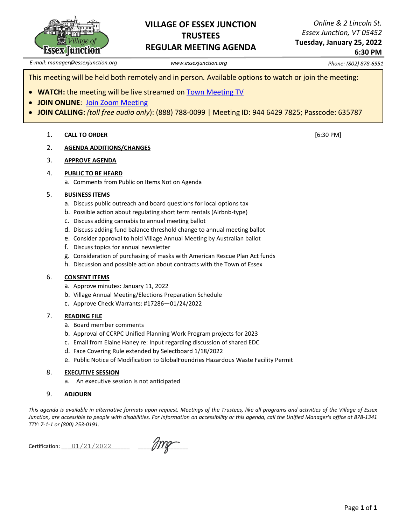

#### **VILLAGE OF ESSEX JUNCTION TRUSTEES REGULAR MEETING AGENDA**

*Online & 2 Lincoln St. Essex Junction, VT 05452*

**Tuesday, January 25, 2022 6:30 PM**

*E-mail: manager@essexjunction.org www.essexjunction.org Phone: (802) 878-6951*

This meeting will be held both remotely and in person*.* Available options to watch or join the meeting:

- **WATCH:** the meeting will be live streamed on [Town Meeting TV](https://www.youtube.com/playlist?app=desktop&list=PLljLFn4BZd2NDBcfrHVdIR7eUeko7haxg)
- **JOIN ONLINE**: [Join Zoom Meeting](https://zoom.us/j/94464297825?pwd=T0RTL0VteHZXNHlteTJpQi83WUg4QT09)
- **JOIN CALLING:** *(toll free audio only*): (888) 788-0099 | Meeting ID: 944 6429 7825; Passcode: 635787

#### 1. **CALL TO ORDER** [6:30 PM]

2. **AGENDA ADDITIONS/CHANGES**

#### 3. **APPROVE AGENDA**

#### 4. **PUBLIC TO BE HEARD**

a. Comments from Public on Items Not on Agenda

#### 5. **BUSINESS ITEMS**

- a. Discuss public outreach and board questions for local options tax
- b. Possible action about regulating short term rentals (Airbnb-type)
- c. Discuss adding cannabis to annual meeting ballot
- d. Discuss adding fund balance threshold change to annual meeting ballot
- e. Consider approval to hold Village Annual Meeting by Australian ballot
- f. Discuss topics for annual newsletter
- g. Consideration of purchasing of masks with American Rescue Plan Act funds
- h. Discussion and possible action about contracts with the Town of Essex

#### 6. **CONSENT ITEMS**

- a. Approve minutes: January 11, 2022
- b. Village Annual Meeting/Elections Preparation Schedule
- c. Approve Check Warrants: #17286—01/24/2022

#### 7. **READING FILE**

- a. Board member comments
- b. Approval of CCRPC Unified Planning Work Program projects for 2023
- c. Email from Elaine Haney re: Input regarding discussion of shared EDC
- d. Face Covering Rule extended by Selectboard 1/18/2022
- e. Public Notice of Modification to GlobalFoundries Hazardous Waste Facility Permit

#### 8. **EXECUTIVE SESSION**

a. An executive session is not anticipated

#### 9. **ADJOURN**

*This agenda is available in alternative formats upon request. Meetings of the Trustees, like all programs and activities of the Village of Essex Junction, are accessible to people with disabilities. For information on accessibility or this agenda, call the Unified Manager's office at 878-1341 TTY: 7-1-1 or (800) 253-0191.*

Certification: \_\_\_\_\_\_\_\_\_\_\_\_\_\_\_\_\_\_\_\_\_\_\_ \_\_\_\_\_\_\_\_\_\_\_\_\_\_\_\_\_ 01/21/2022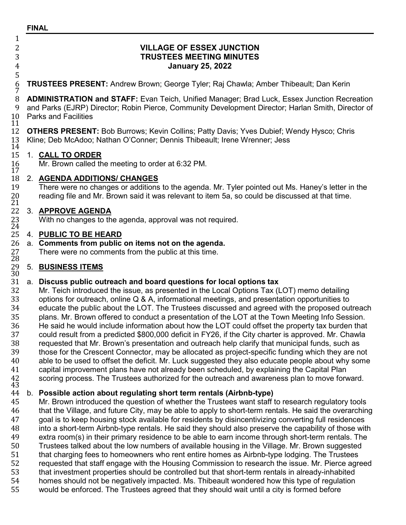# **FINAL**

# 5  $\frac{7}{8}$ 11 14<br>15 17<br>18

### 2 **VILLAGE OF ESSEX JUNCTION** 3 **TRUSTEES MEETING MINUTES** 4 **January 25, 2022**

### 6 **TRUSTEES PRESENT:** Andrew Brown; George Tyler; Raj Chawla; Amber Thibeault; Dan Kerin

8 **ADMINISTRATION and STAFF:** Evan Teich, Unified Manager; Brad Luck, Essex Junction Recreation<br>9 and Parks (EJRP) Director: Robin Pierce, Community Development Director: Harlan Smith, Director of 9 and Parks (EJRP) Director; Robin Pierce, Community Development Director; Harlan Smith, Director of Parks and Facilities

12 **OTHERS PRESENT:** Bob Burrows; Kevin Collins; Patty Davis; Yves Dubief; Wendy Hysco; Chris 13 Kline: Deb McAdoo: Nathan O'Conner: Dennis Thibeault: Irene Wrenner: Jess 13 Kline; Deb McAdoo; Nathan O'Conner; Dennis Thibeault; Irene Wrenner; Jess

### 15 1. **CALL TO ORDER**

Mr. Brown called the meeting to order at 6:32 PM.

### 18 2. **AGENDA ADDITIONS/ CHANGES**

There were no changes or additions to the agenda. Mr. Tyler pointed out Ms. Haney's letter in the reading file and Mr. Brown said it was relevant to item 5a, so could be discussed at that time.

# $\begin{smallmatrix} 20\ 21\ 22 \end{smallmatrix}$ 22 3. **APPROVE AGENDA**<br>23 With no changes to th<br>24

23 With no changes to the agenda, approval was not required.<br>24<br>25 4. **PUBLIC TO BE HEARD** 

## 25 4. **PUBLIC TO BE HEARD**

# 26 a. **Comments from public on items not on the agenda.**<br>27 There were no comments from the public at this time.<br>28

27 There were no comments from the public at this time.<br>28  $\,$  5. BUSINESS ITEMS

### 29 5. **BUSINESS ITEMS**

### 30<br>31

31 a. **Discuss public outreach and board questions for local options tax** 32 Mr. Teich introduced the issue, as presented in the Local Options Tax (LOT) memo detailing<br>33 options for outreach, online Q & A, informational meetings, and presentation opportunities to 33 options for outreach, online Q & A, informational meetings, and presentation opportunities to<br>34 educate the public about the LOT. The Trustees discussed and agreed with the proposed out 34 educate the public about the LOT. The Trustees discussed and agreed with the proposed outreach<br>35 plans. Mr. Brown offered to conduct a presentation of the LOT at the Town Meeting Info Session. plans. Mr. Brown offered to conduct a presentation of the LOT at the Town Meeting Info Session.<br>36 He said he would include information about how the LOT could offset the property tax burden that 36 He said he would include information about how the LOT could offset the property tax burden that 37 could result from a predicted \$800,000 deficit in FY26, if the City charter is approved. Mr. Chawla 37 could result from a predicted \$800,000 deficit in FY26, if the City charter is approved. Mr. Chawla<br>38 requested that Mr. Brown's presentation and outreach help clarify that municipal funds, such as 38 requested that Mr. Brown's presentation and outreach help clarify that municipal funds, such as<br>39 those for the Crescent Connector, may be allocated as proiect-specific funding which they are n 39 those for the Crescent Connector, may be allocated as project-specific funding which they are not<br>40 able to be used to offset the deficit. Mr. Luck suggested they also educate people about why some 40 able to be used to offset the deficit. Mr. Luck suggested they also educate people about why some<br>41 capital improvement plans have not already been scheduled, by explaining the Capital Plan 41 capital improvement plans have not already been scheduled, by explaining the Capital Plan<br>42 scoring process. The Trustees authorized for the outreach and awareness plan to move forw<br>43 <sup>42</sup> scoring process. The Trustees authorized for the outreach and awareness plan to move forward. <sup>43</sup>

### 44 b. **Possible action about regulating short term rentals (Airbnb-type)**

15 Mr. Brown introduced the question of whether the Trustees want staff to research regulatory tools<br>46 that the Village, and future City, may be able to apply to short-term rentals. He said the overarchin 46 that the Village, and future City, may be able to apply to short-term rentals. He said the overarching<br>47 ooal is to keep housing stock available for residents by disincentivizing converting full residences 47 goal is to keep housing stock available for residents by disincentivizing converting full residences<br>48 into a short-term Airbnb-type rentals. He said they should also preserve the capability of those wit into a short-term Airbnb-type rentals. He said they should also preserve the capability of those with<br>49 extra room(s) in their primary residence to be able to earn income through short-term rentals. The extra room(s) in their primary residence to be able to earn income through short-term rentals. The<br>50 Trustees talked about the low numbers of available housing in the Village. Mr. Brown suggested 50 Trustees talked about the low numbers of available housing in the Village. Mr. Brown suggested<br>51 that charging fees to homeowners who rent entire homes as Airbnb-type lodging. The Trustees 51 that charging fees to homeowners who rent entire homes as Airbnb-type lodging. The Trustees<br>52 requested that staff engage with the Housing Commission to research the issue. Mr. Pierce agre 52 requested that staff engage with the Housing Commission to research the issue. Mr. Pierce agreed<br>53 that investment properties should be controlled but that short-term rentals in already-inhabited 53 that investment properties should be controlled but that short-term rentals in already-inhabited<br>54 homes should not be negatively impacted. Ms. Thibeault wondered how this type of regulation 54 homes should not be negatively impacted. Ms. Thibeault wondered how this type of regulation<br>55 would be enforced. The Trustees agreed that they should wait until a city is formed before would be enforced. The Trustees agreed that they should wait until a city is formed before

 $\frac{1}{2}$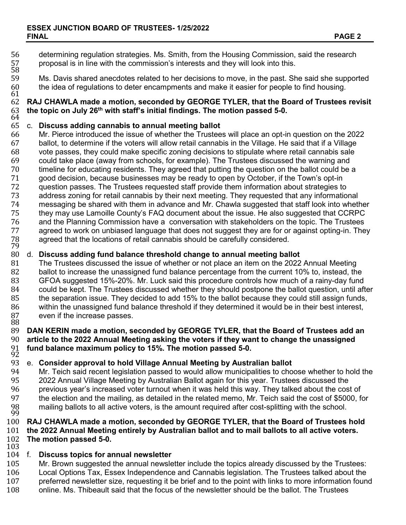- 56 determining regulation strategies. Ms. Smith, from the Housing Commission, said the research 57 proposal is in line with the commission's interests and they will look into this. 57<br>58<br>59
- 59 Ms. Davis shared anecdotes related to her decisions to move, in the past. She said she supported 50<br>60 the idea of regulations to deter encampments and make it easier for people to find housing.

### for the idea of regulations to deter encampments and make it easier for people to find housing.<br>61<br>62 **RAJ CHAWLA made a motion, seconded by GEORGE TYLER, that the Board of Trustees** 62 **RAJ CHAWLA made a motion, seconded by GEORGE TYLER, that the Board of Trustees revisit**  the topic on July 26<sup>th</sup> with staff's initial findings. The motion passed 5-0.

### 64<br>65

- 65 c. **Discuss adding cannabis to annual meeting ballot** 66 Mr. Pierce introduced the issue of whether the Trustees will place an opt-in question on the 2022 67 ballot, to determine if the voters will allow retail cannabis in the Village. He said that if a Village<br>68 vote passes, they could make specific zoning decisions to stipulate where retail cannabis sale 68 vote passes, they could make specific zoning decisions to stipulate where retail cannabis sale 69 could take place (away from schools, for example). The Trustees discussed the warning and<br>70 timeline for educating residents. They agreed that putting the question on the ballot could be 70 timeline for educating residents. They agreed that putting the question on the ballot could be a<br>71 opod decision, because businesses may be ready to open by October, if the Town's opt-in 71 good decision, because businesses may be ready to open by October, if the Town's opt-in 72 question passes. The Trustees requested staff provide them information about strategies to<br>73 dedices zoning for retail cannabis by their next meeting. They requested that any information 73 address zoning for retail cannabis by their next meeting. They requested that any informational<br>74 messaging be shared with them in advance and Mr. Chawla suggested that staff look into whetl 74 messaging be shared with them in advance and Mr. Chawla suggested that staff look into whether They may use Lamoille County's FAQ document about the issue. He also suggested that CCRPC<br>76 and the Planning Commission have a conversation with stakeholders on the topic. The Trustees 76 and the Planning Commission have a conversation with stakeholders on the topic. The Trustees<br>77 agreed to work on unbiased language that does not suggest they are for or against opting-in. The agreed to work on unbiased language that does not suggest they are for or against opting-in. They<br>78 agreed that the locations of retail cannabis should be carefully considered.<br>79 agreed that the locations of retail cannabis should be carefully considered.<br>79<br>80 d. **Discuss adding fund balance threshold change to annual meeting bal**
- 80 d. **Discuss adding fund balance threshold change to annual meeting ballot**
- 81 The Trustees discussed the issue of whether or not place an item on the 2022 Annual Meeting<br>82 ballot to increase the unassigned fund balance percentage from the current 10% to, instead, the 82 ballot to increase the unassigned fund balance percentage from the current 10% to, instead, the 83 GFOA suggested 15%-20%. Mr. Luck said this procedure controls how much of a rainy-day fund 84 could be kept. The Trustees discussed whether they should postpone the ballot question, until after<br>85 the separation issue. They decided to add 15% to the ballot because they could still assign funds. 85 the separation issue. They decided to add 15% to the ballot because they could still assign funds,<br>86 within the unassigned fund balance threshold if they determined it would be in their best interest, 86 within the unassigned fund balance threshold if they determined it would be in their best interest, 87 even if the increase passes.

### 87 even if the increase passes.<br>88<br>89 **DAN KERIN made a motion. s** 89 **DAN KERIN made a motion, seconded by GEORGE TYLER, that the Board of Trustees add an**  90 **article to the 2022 Annual Meeting asking the voters if they want to change the unassigned**  <sup>91</sup> **fund balance maximum policy to 15%. The motion passed 5-0.** <sup>92</sup>

### 93 e. **Consider approval to hold Village Annual Meeting by Australian ballot**

94 Mr. Teich said recent legislation passed to would allow municipalities to choose whether to hold the 95 (95 95 2022 Annual Village Meeting by Australian Ballot again for this year. Trustees discussed the 96 previous year's increased voter turnout when it was held this way. They talked about the cost of 95000.<br>97 the election and the mailing, as detailed in the related memo. Mr. Teich said the cost of \$5000, f 97 the election and the mailing, as detailed in the related memo, Mr. Teich said the cost of \$5000, for 98<br>98 mailing ballots to all active voters, is the amount required after cost-splitting with the school. mailing ballots to all active voters, is the amount required after cost-splitting with the school.

#### $\frac{99}{100}$ 100 **RAJ CHAWLA made a motion, seconded by GEORGE TYLER, that the Board of Trustees hold**  101 **the 2022 Annual Meeting entirely by Australian ballot and to mail ballots to all active voters.** 102 **The motion passed 5-0.**

### $\begin{matrix} 103 \\ 104 \end{matrix}$  f.

- 104 f. **Discuss topics for annual newsletter** 105 Mr. Brown suggested the annual newsletter include the topics already discussed by the Trustees:<br>106 Local Options Tax. Essex Independence and Cannabis legislation. The Trustees talked about the 106 Local Options Tax, Essex Independence and Cannabis legislation. The Trustees talked about the 107 upder preferred newsletter size, requesting it be brief and to the point with links to more information foun
- 107 preferred newsletter size, requesting it be brief and to the point with links to more information found 108 online. Ms. Thibeault said that the focus of the newsletter should be the ballot. The Trustees
- 108 online. Ms. Thibeault said that the focus of the newsletter should be the ballot. The Trustees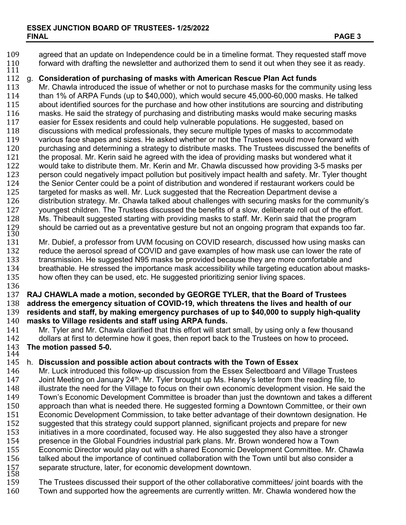- 109 agreed that an update on Independence could be in a timeline format. They requested staff move<br>110 forward with drafting the newsletter and authorized them to send it out when they see it as ready. <sup>110</sup> forward with drafting the newsletter and authorized them to send it out when they see it as ready. <sup>111</sup>
- 112 g. **Consideration of purchasing of masks with American Rescue Plan Act funds**

113 Mr. Chawla introduced the issue of whether or not to purchase masks for the community using less<br>114 than 1% of ARPA Funds (up to \$40.000), which would secure 45,000-60,000 masks. He talked 114 than 1% of ARPA Funds (up to \$40,000), which would secure 45,000-60,000 masks. He talked<br>115 about identified sources for the purchase and how other institutions are sourcing and distributing 115 about identified sources for the purchase and how other institutions are sourcing and distributing<br>116 masks. He said the strategy of purchasing and distributing masks would make securing masks 116 masks. He said the strategy of purchasing and distributing masks would make securing masks<br>117 easier for Essex residents and could help vulnerable populations. He suggested, based on 117 easier for Essex residents and could help vulnerable populations. He suggested, based on<br>118 discussions with medical professionals, they secure multiple types of masks to accommoda 118 discussions with medical professionals, they secure multiple types of masks to accommodate<br>119 various face shapes and sizes. He asked whether or not the Trustees would move forward wit 119 various face shapes and sizes. He asked whether or not the Trustees would move forward with<br>120 burchasing and determining a strategy to distribute masks. The Trustees discussed the benefits 120 purchasing and determining a strategy to distribute masks. The Trustees discussed the benefits of 121 the proposal. Mr. Kerin said he agreed with the idea of providing masks but wondered what it 121 the proposal. Mr. Kerin said he agreed with the idea of providing masks but wondered what it<br>122 vould take to distribute them. Mr. Kerin and Mr. Chawla discussed how providing 3-5 masks r would take to distribute them. Mr. Kerin and Mr. Chawla discussed how providing 3-5 masks per<br>123 eers on could negatively impact pollution but positively impact health and safety. Mr. Tyler though 123 person could negatively impact pollution but positively impact health and safety. Mr. Tyler thought 124 the Senior Center could be a point of distribution and wondered if restaurant workers could be 124 the Senior Center could be a point of distribution and wondered if restaurant workers could be<br>125 targeted for masks as well. Mr. Luck suggested that the Recreation Department devise a 125 targeted for masks as well. Mr. Luck suggested that the Recreation Department devise a<br>126 distribution strategy. Mr. Chawla talked about challenges with securing masks for the con 126 distribution strategy. Mr. Chawla talked about challenges with securing masks for the community's discussed to be penetits of a slow, deliberate roll out of the effort. 127 youngest children. The Trustees discussed the benefits of a slow, deliberate roll out of the effort.<br>128 Ms. Thibeault suggested starting with providing masks to staff. Mr. Kerin said that the program 128 Ms. Thibeault suggested starting with providing masks to staff. Mr. Kerin said that the program<br>129 should be carried out as a preventative gesture but not an ongoing program that expands too fa<br>130 129 should be carried out as a preventative gesture but not an ongoing program that expands too far.<br>130<br>131 Mr. Dubief, a professor from UVM focusing on COVID research, discussed how using masks can

131 Mr. Dubief, a professor from UVM focusing on COVID research, discussed how using masks can<br>132 Feduce the aerosol spread of COVID and gave examples of how mask use can lower the rate of 132 reduce the aerosol spread of COVID and gave examples of how mask use can lower the rate of 133 transmission. He suggested N95 masks be provided because they are more comfortable and 133 transmission. He suggested N95 masks be provided because they are more comfortable and<br>134 breathable. He stressed the importance mask accessibility while targeting education about ma 134 breathable. He stressed the importance mask accessibility while targeting education about masks-<br>135 bow often they can be used, etc. He suggested prioritizing senior living spaces. how often they can be used, etc. He suggested prioritizing senior living spaces.

136<br>137

 **RAJ CHAWLA made a motion, seconded by GEORGE TYLER, that the Board of Trustees address the emergency situation of COVID-19, which threatens the lives and health of our residents and staff, by making emergency purchases of up to \$40,000 to supply high-quality masks to Village residents and staff using ARPA funds.**

- 141 Mr. Tyler and Mr. Chawla clarified that this effort will start small, by using only a few thousand<br>142 dollars at first to determine how it goes, then report back to the Trustees on how to proceed. 142 dollars at first to determine how it goes, then report back to the Trustees on how to proceed**.** The motion passed 5-0.
- 

### $\frac{144}{145}$ 145 h. **Discussion and possible action about contracts with the Town of Essex**

146 Mr. Luck introduced this follow-up discussion from the Essex Selectboard and Village Trustees<br>147 – Joint Meeting on January 24<sup>th</sup>, Mr. Tyler brought up Ms. Haney's letter from the reading file, to Joint Meeting on January 24<sup>th</sup>. Mr. Tyler brought up Ms. Haney's letter from the reading file, to 148 illustrate the need for the Village to focus on their own economic development vision. He said to 148 illustrate the need for the Village to focus on their own economic development vision. He said the<br>149 Town's Economic Development Committee is broader than iust the downtown and takes a differer 149 Town's Economic Development Committee is broader than just the downtown and takes a different<br>150 approach than what is needed there. He suggested forming a Downtown Committee, or their own 150 approach than what is needed there. He suggested forming a Downtown Committee, or their own<br>151 Economic Development Commission, to take better advantage of their downtown designation. He 151 Economic Development Commission, to take better advantage of their downtown designation. He 152 suggested that this strategy could support planned, significant projects and prepare for new<br>153 initiatives in a more coordinated, focused way. He also suggested they also have a stronger 153 initiatives in a more coordinated, focused way. He also suggested they also have a stronger 154 presence in the Global Foundries industrial park plans. Mr. Brown wondered how a Town<br>155 Economic Director would play out with a shared Economic Development Committee. Mr. ( 155 Economic Director would play out with a shared Economic Development Committee. Mr. Chawla talked about the importance of continued collaboration with the Town until but also consider a<br>157 separate structure, later, for economic development downtown.<br>158 157 separate structure, later, for economic development downtown.<br>158 The Trustees discussed their support of the other collaborative

159 The Trustees discussed their support of the other collaborative committees/ joint boards with the 160 Town and supported how the agreements are currently written. Mr. Chawla wondered how the Town and supported how the agreements are currently written. Mr. Chawla wondered how the